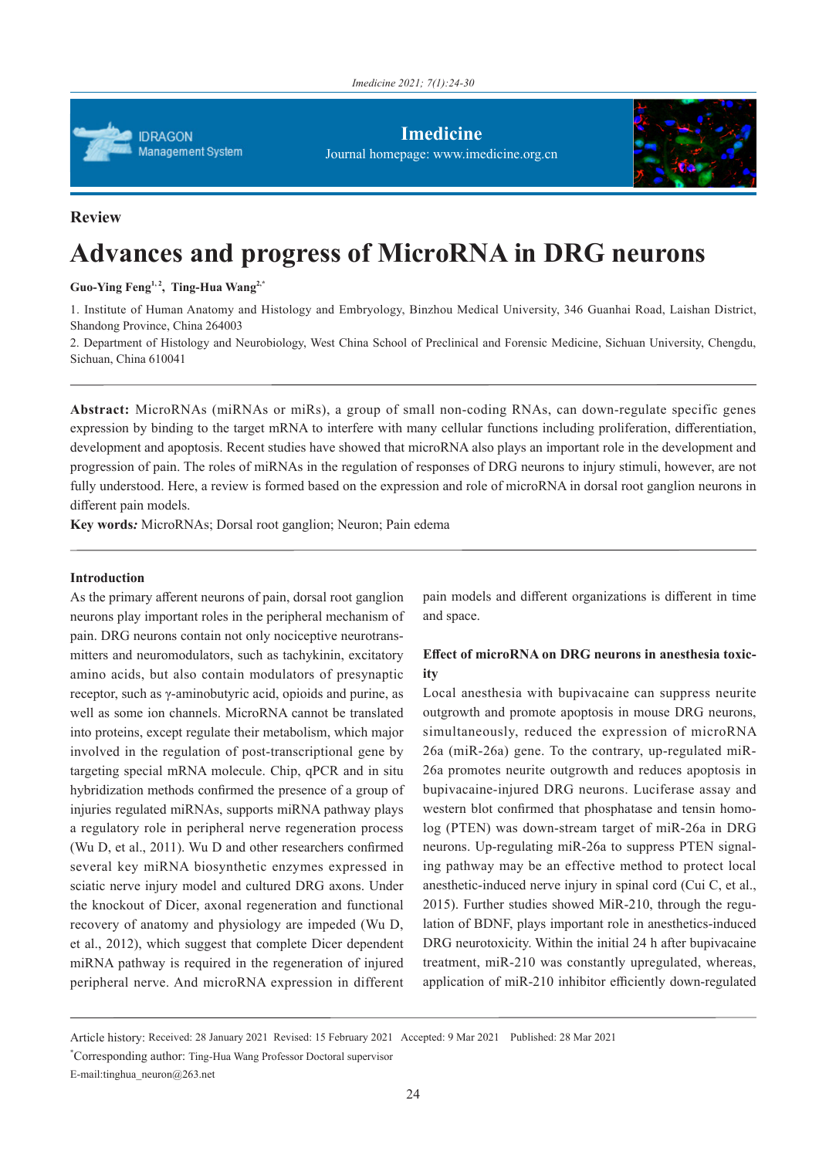

**Imedicine** Journal homepage: www.imedicine.org.cn



## **Review**

# **Advances and progress of MicroRNA in DRG neurons**

Guo-Ying Feng<sup>1,2</sup>, Ting-Hua Wang<sup>2,\*</sup>

1. Institute of Human Anatomy and Histology and Embryology, Binzhou Medical University, 346 Guanhai Road, Laishan District, Shandong Province, China 264003

2. Department of Histology and Neurobiology, West China School of Preclinical and Forensic Medicine, Sichuan University, Chengdu, Sichuan, China 610041

**Abstract:** MicroRNAs (miRNAs or miRs), a group of small non-coding RNAs, can down-regulate specific genes expression by binding to the target mRNA to interfere with many cellular functions including proliferation, differentiation, development and apoptosis. Recent studies have showed that microRNA also plays an important role in the development and progression of pain. The roles of miRNAs in the regulation of responses of DRG neurons to injury stimuli, however, are not fully understood. Here, a review is formed based on the expression and role of microRNA in dorsal root ganglion neurons in different pain models.

**Key words***:* MicroRNAs; Dorsal root ganglion; Neuron; Pain edema

### **Introduction**

As the primary afferent neurons of pain, dorsal root ganglion neurons play important roles in the peripheral mechanism of pain. DRG neurons contain not only nociceptive neurotransmitters and neuromodulators, such as tachykinin, excitatory amino acids, but also contain modulators of presynaptic receptor, such as γ-aminobutyric acid, opioids and purine, as well as some ion channels. MicroRNA cannot be translated into proteins, except regulate their metabolism, which major involved in the regulation of post-transcriptional gene by targeting special mRNA molecule. Chip, qPCR and in situ hybridization methods confirmed the presence of a group of injuries regulated miRNAs, supports miRNA pathway plays a regulatory role in peripheral nerve regeneration process (Wu D, et al., 2011). Wu D and other researchers confirmed several key miRNA biosynthetic enzymes expressed in sciatic nerve injury model and cultured DRG axons. Under the knockout of Dicer, axonal regeneration and functional recovery of anatomy and physiology are impeded (Wu D, et al., 2012), which suggest that complete Dicer dependent miRNA pathway is required in the regeneration of injured peripheral nerve. And microRNA expression in different

pain models and different organizations is different in time and space.

# **Effect of microRNA on DRG neurons in anesthesia toxicity**

Local anesthesia with bupivacaine can suppress neurite outgrowth and promote apoptosis in mouse DRG neurons, simultaneously, reduced the expression of microRNA 26a (miR-26a) gene. To the contrary, up-regulated miR-26a promotes neurite outgrowth and reduces apoptosis in bupivacaine-injured DRG neurons. Luciferase assay and western blot confirmed that phosphatase and tensin homolog (PTEN) was down-stream target of miR-26a in DRG neurons. Up-regulating miR-26a to suppress PTEN signaling pathway may be an effective method to protect local anesthetic-induced nerve injury in spinal cord (Cui C, et al., 2015). Further studies showed MiR-210, through the regulation of BDNF, plays important role in anesthetics-induced DRG neurotoxicity. Within the initial 24 h after bupivacaine treatment, miR-210 was constantly upregulated, whereas, application of miR-210 inhibitor efficiently down-regulated

Article history: Received: 28 January 2021 Revised: 15 February 2021 Accepted: 9 Mar 2021 Published: 28 Mar 2021

\* Corresponding author: Ting-Hua Wang Professor Doctoral supervisor

E-mail:tinghua\_neuron@263.net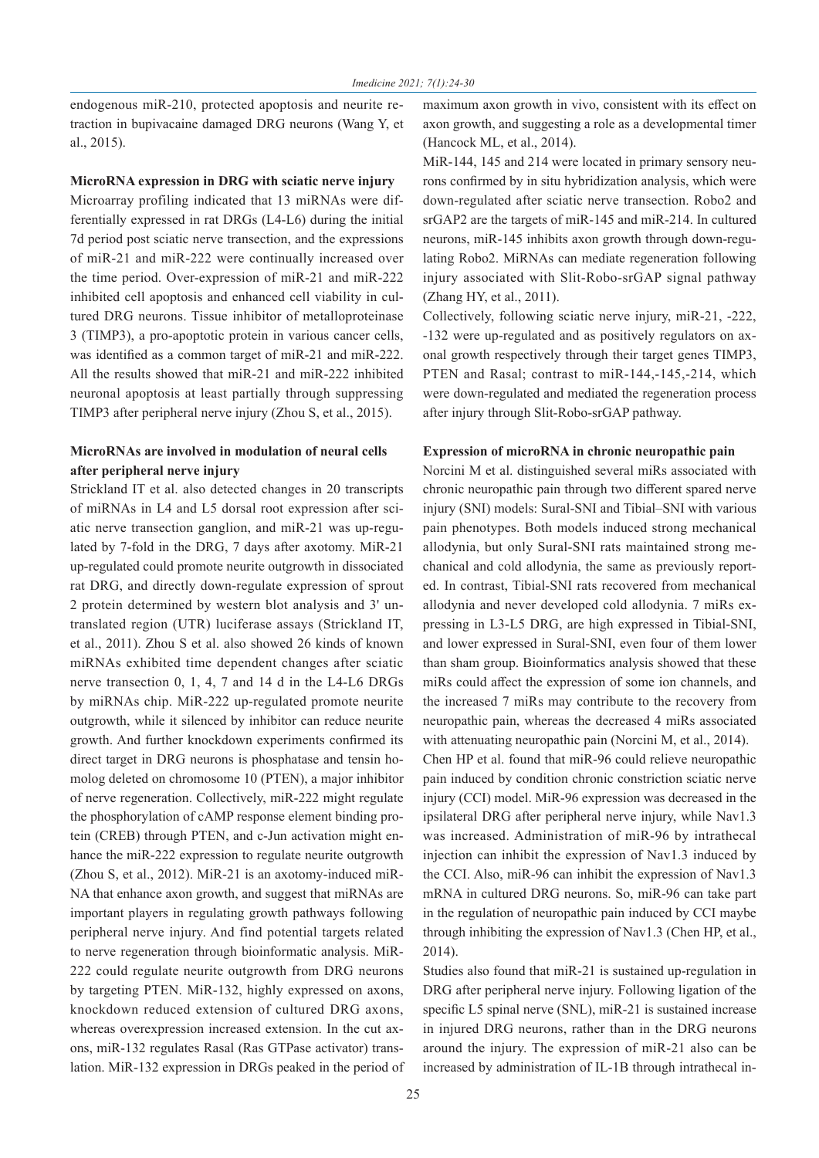endogenous miR-210, protected apoptosis and neurite retraction in bupivacaine damaged DRG neurons (Wang Y, et al., 2015).

#### **MicroRNA expression in DRG with sciatic nerve injury**

Microarray profiling indicated that 13 miRNAs were differentially expressed in rat DRGs (L4-L6) during the initial 7d period post sciatic nerve transection, and the expressions of miR-21 and miR-222 were continually increased over the time period. Over-expression of miR-21 and miR-222 inhibited cell apoptosis and enhanced cell viability in cultured DRG neurons. Tissue inhibitor of metalloproteinase 3 (TIMP3), a pro-apoptotic protein in various cancer cells, was identified as a common target of miR-21 and miR-222. All the results showed that miR-21 and miR-222 inhibited neuronal apoptosis at least partially through suppressing TIMP3 after peripheral nerve injury (Zhou S, et al., 2015).

# **MicroRNAs are involved in modulation of neural cells after peripheral nerve injury**

Strickland IT et al. also detected changes in 20 transcripts of miRNAs in L4 and L5 dorsal root expression after sciatic nerve transection ganglion, and miR-21 was up-regulated by 7-fold in the DRG, 7 days after axotomy. MiR-21 up-regulated could promote neurite outgrowth in dissociated rat DRG, and directly down-regulate expression of sprout 2 protein determined by western blot analysis and 3' untranslated region (UTR) luciferase assays (Strickland IT, et al., 2011). Zhou S et al. also showed 26 kinds of known miRNAs exhibited time dependent changes after sciatic nerve transection 0, 1, 4, 7 and 14 d in the L4-L6 DRGs by miRNAs chip. MiR-222 up-regulated promote neurite outgrowth, while it silenced by inhibitor can reduce neurite growth. And further knockdown experiments confirmed its direct target in DRG neurons is phosphatase and tensin homolog deleted on chromosome 10 (PTEN), a major inhibitor of nerve regeneration. Collectively, miR-222 might regulate the phosphorylation of cAMP response element binding protein (CREB) through PTEN, and c-Jun activation might enhance the miR-222 expression to regulate neurite outgrowth (Zhou S, et al., 2012). MiR-21 is an axotomy-induced miR-NA that enhance axon growth, and suggest that miRNAs are important players in regulating growth pathways following peripheral nerve injury. And find potential targets related to nerve regeneration through bioinformatic analysis. MiR-222 could regulate neurite outgrowth from DRG neurons by targeting PTEN. MiR-132, highly expressed on axons, knockdown reduced extension of cultured DRG axons, whereas overexpression increased extension. In the cut axons, miR-132 regulates Rasal (Ras GTPase activator) translation. MiR-132 expression in DRGs peaked in the period of maximum axon growth in vivo, consistent with its effect on axon growth, and suggesting a role as a developmental timer (Hancock ML, et al., 2014).

MiR-144, 145 and 214 were located in primary sensory neurons confirmed by in situ hybridization analysis, which were down-regulated after sciatic nerve transection. Robo2 and srGAP2 are the targets of miR-145 and miR-214. In cultured neurons, miR-145 inhibits axon growth through down-regulating Robo2. MiRNAs can mediate regeneration following injury associated with Slit-Robo-srGAP signal pathway (Zhang HY, et al., 2011).

Collectively, following sciatic nerve injury, miR-21, -222, -132 were up-regulated and as positively regulators on axonal growth respectively through their target genes TIMP3, PTEN and Rasal; contrast to miR-144,-145,-214, which were down-regulated and mediated the regeneration process after injury through Slit-Robo-srGAP pathway.

#### **Expression of microRNA in chronic neuropathic pain**

Norcini M et al. distinguished several miRs associated with chronic neuropathic pain through two different spared nerve injury (SNI) models: Sural-SNI and Tibial–SNI with various pain phenotypes. Both models induced strong mechanical allodynia, but only Sural-SNI rats maintained strong mechanical and cold allodynia, the same as previously reported. In contrast, Tibial-SNI rats recovered from mechanical allodynia and never developed cold allodynia. 7 miRs expressing in L3-L5 DRG, are high expressed in Tibial-SNI, and lower expressed in Sural-SNI, even four of them lower than sham group. Bioinformatics analysis showed that these miRs could affect the expression of some ion channels, and the increased 7 miRs may contribute to the recovery from neuropathic pain, whereas the decreased 4 miRs associated with attenuating neuropathic pain (Norcini M, et al., 2014). Chen HP et al. found that miR-96 could relieve neuropathic pain induced by condition chronic constriction sciatic nerve injury (CCI) model. MiR-96 expression was decreased in the ipsilateral DRG after peripheral nerve injury, while Nav1.3 was increased. Administration of miR-96 by intrathecal injection can inhibit the expression of Nav1.3 induced by the CCI. Also, miR-96 can inhibit the expression of Nav1.3 mRNA in cultured DRG neurons. So, miR-96 can take part in the regulation of neuropathic pain induced by CCI maybe through inhibiting the expression of Nav1.3 (Chen HP, et al., 2014).

Studies also found that miR-21 is sustained up-regulation in DRG after peripheral nerve injury. Following ligation of the specific L5 spinal nerve (SNL), miR-21 is sustained increase in injured DRG neurons, rather than in the DRG neurons around the injury. The expression of miR-21 also can be increased by administration of IL-1B through intrathecal in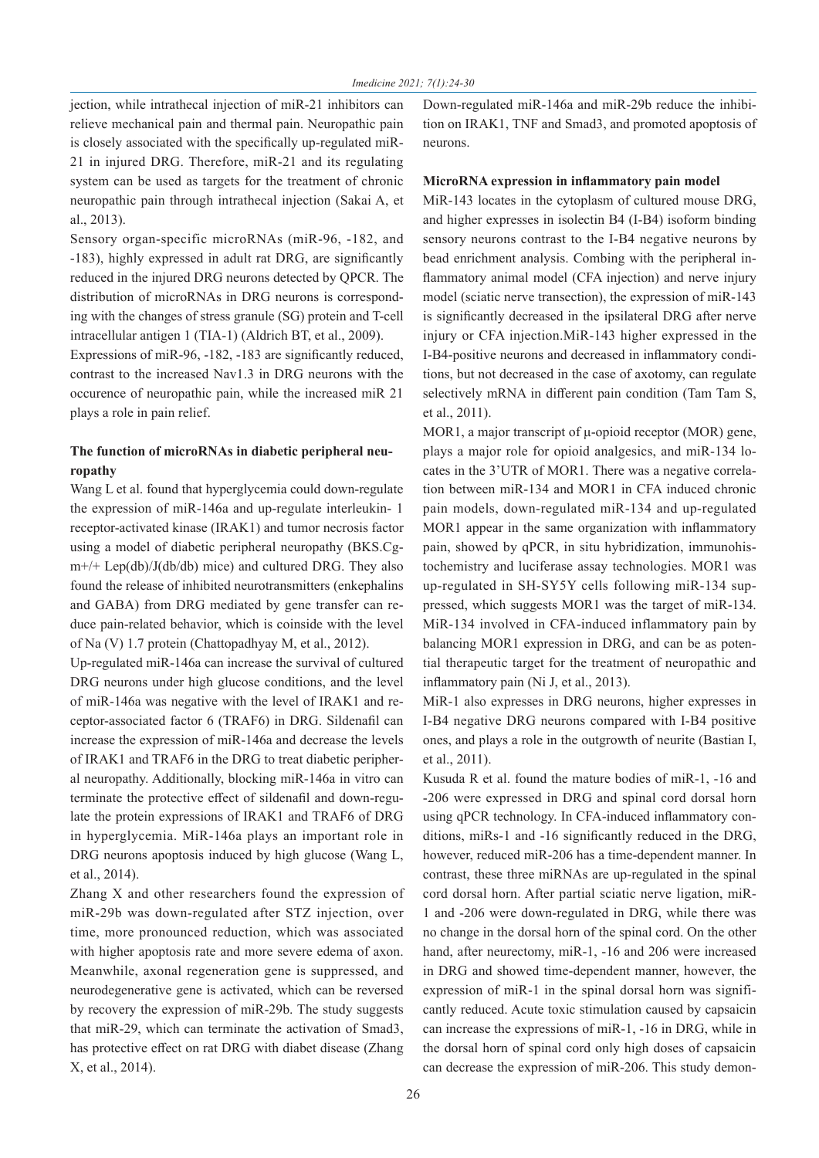jection, while intrathecal injection of miR-21 inhibitors can relieve mechanical pain and thermal pain. Neuropathic pain is closely associated with the specifically up-regulated miR-21 in injured DRG. Therefore, miR-21 and its regulating system can be used as targets for the treatment of chronic neuropathic pain through intrathecal injection (Sakai A, et al., 2013).

Sensory organ-specific microRNAs (miR-96, -182, and -183), highly expressed in adult rat DRG, are significantly reduced in the injured DRG neurons detected by QPCR. The distribution of microRNAs in DRG neurons is corresponding with the changes of stress granule (SG) protein and T-cell intracellular antigen 1 (TIA-1) (Aldrich BT, et al., 2009).

Expressions of miR-96, -182, -183 are significantly reduced, contrast to the increased Nav1.3 in DRG neurons with the occurence of neuropathic pain, while the increased miR 21 plays a role in pain relief.

# **The function of microRNAs in diabetic peripheral neuropathy**

Wang L et al. found that hyperglycemia could down-regulate the expression of miR-146a and up-regulate interleukin- 1 receptor-activated kinase (IRAK1) and tumor necrosis factor using a model of diabetic peripheral neuropathy (BKS.Cg $m+/+ \text{Lep(db)/J(db/db)}$  mice) and cultured DRG. They also found the release of inhibited neurotransmitters (enkephalins and GABA) from DRG mediated by gene transfer can reduce pain-related behavior, which is coinside with the level of Na (V) 1.7 protein (Chattopadhyay M, et al., 2012).

Up-regulated miR-146a can increase the survival of cultured DRG neurons under high glucose conditions, and the level of miR-146a was negative with the level of IRAK1 and receptor-associated factor 6 (TRAF6) in DRG. Sildenafil can increase the expression of miR-146a and decrease the levels of IRAK1 and TRAF6 in the DRG to treat diabetic peripheral neuropathy. Additionally, blocking miR-146a in vitro can terminate the protective effect of sildenafil and down-regulate the protein expressions of IRAK1 and TRAF6 of DRG in hyperglycemia. MiR-146a plays an important role in DRG neurons apoptosis induced by high glucose (Wang L, et al., 2014).

Zhang X and other researchers found the expression of miR-29b was down-regulated after STZ injection, over time, more pronounced reduction, which was associated with higher apoptosis rate and more severe edema of axon. Meanwhile, axonal regeneration gene is suppressed, and neurodegenerative gene is activated, which can be reversed by recovery the expression of miR-29b. The study suggests that miR-29, which can terminate the activation of Smad3, has protective effect on rat DRG with diabet disease (Zhang X, et al., 2014).

Down-regulated miR-146a and miR-29b reduce the inhibition on IRAK1, TNF and Smad3, and promoted apoptosis of neurons.

#### **MicroRNA expression in inflammatory pain model**

MiR-143 locates in the cytoplasm of cultured mouse DRG, and higher expresses in isolectin B4 (I-B4) isoform binding sensory neurons contrast to the I-B4 negative neurons by bead enrichment analysis. Combing with the peripheral inflammatory animal model (CFA injection) and nerve injury model (sciatic nerve transection), the expression of miR-143 is significantly decreased in the ipsilateral DRG after nerve injury or CFA injection.MiR-143 higher expressed in the I-B4-positive neurons and decreased in inflammatory conditions, but not decreased in the case of axotomy, can regulate selectively mRNA in different pain condition (Tam Tam S, et al., 2011).

MOR1, a major transcript of μ-opioid receptor (MOR) gene, plays a major role for opioid analgesics, and miR-134 locates in the 3'UTR of MOR1. There was a negative correlation between miR-134 and MOR1 in CFA induced chronic pain models, down-regulated miR-134 and up-regulated MOR1 appear in the same organization with inflammatory pain, showed by qPCR, in situ hybridization, immunohistochemistry and luciferase assay technologies. MOR1 was up-regulated in SH-SY5Y cells following miR-134 suppressed, which suggests MOR1 was the target of miR-134. MiR-134 involved in CFA-induced inflammatory pain by balancing MOR1 expression in DRG, and can be as potential therapeutic target for the treatment of neuropathic and inflammatory pain (Ni J, et al., 2013).

MiR-1 also expresses in DRG neurons, higher expresses in I-B4 negative DRG neurons compared with I-B4 positive ones, and plays a role in the outgrowth of neurite (Bastian I, et al., 2011).

Kusuda R et al. found the mature bodies of miR-1, -16 and -206 were expressed in DRG and spinal cord dorsal horn using qPCR technology. In CFA-induced inflammatory conditions, miRs-1 and -16 significantly reduced in the DRG, however, reduced miR-206 has a time-dependent manner. In contrast, these three miRNAs are up-regulated in the spinal cord dorsal horn. After partial sciatic nerve ligation, miR-1 and -206 were down-regulated in DRG, while there was no change in the dorsal horn of the spinal cord. On the other hand, after neurectomy, miR-1, -16 and 206 were increased in DRG and showed time-dependent manner, however, the expression of miR-1 in the spinal dorsal horn was significantly reduced. Acute toxic stimulation caused by capsaicin can increase the expressions of miR-1, -16 in DRG, while in the dorsal horn of spinal cord only high doses of capsaicin can decrease the expression of miR-206. This study demon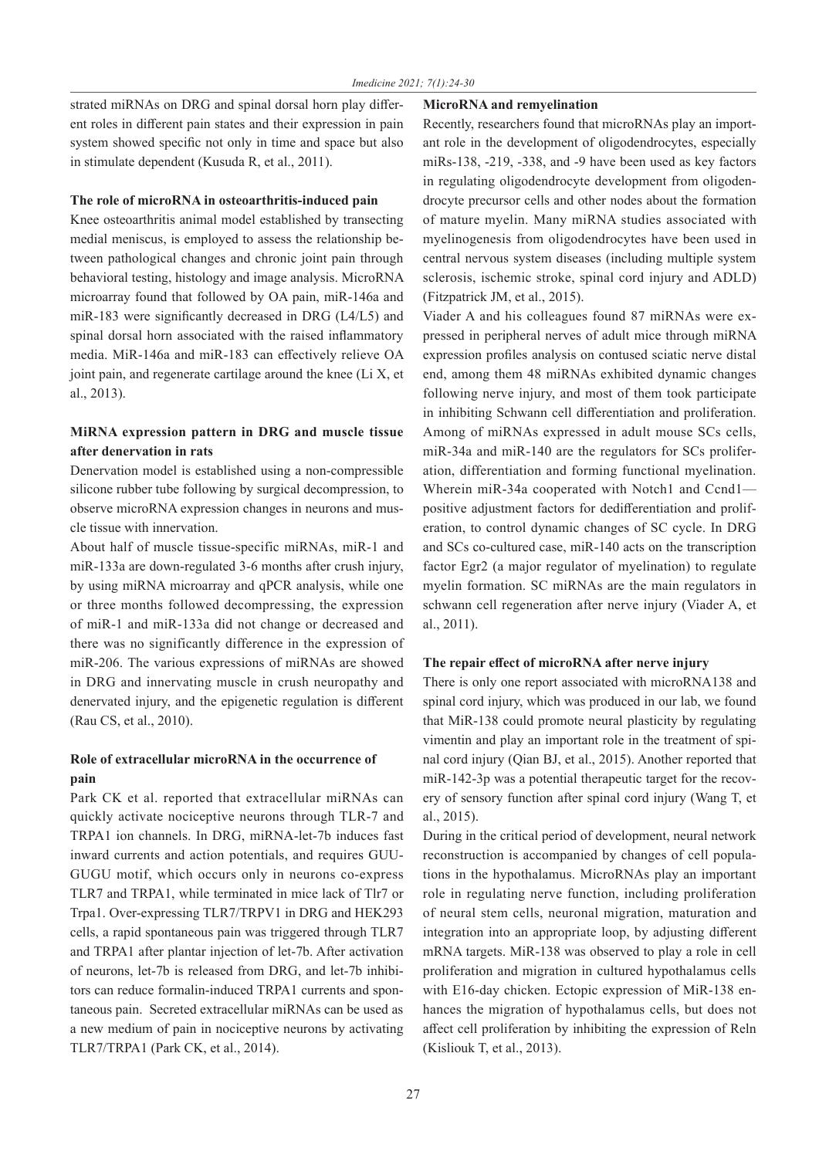strated miRNAs on DRG and spinal dorsal horn play different roles in different pain states and their expression in pain system showed specific not only in time and space but also in stimulate dependent (Kusuda R, et al., 2011).

#### **The role of microRNA in osteoarthritis-induced pain**

Knee osteoarthritis animal model established by transecting medial meniscus, is employed to assess the relationship between pathological changes and chronic joint pain through behavioral testing, histology and image analysis. MicroRNA microarray found that followed by OA pain, miR-146a and miR-183 were significantly decreased in DRG (L4/L5) and spinal dorsal horn associated with the raised inflammatory media. MiR-146a and miR-183 can effectively relieve OA joint pain, and regenerate cartilage around the knee (Li X, et al., 2013).

## **MiRNA expression pattern in DRG and muscle tissue after denervation in rats**

Denervation model is established using a non-compressible silicone rubber tube following by surgical decompression, to observe microRNA expression changes in neurons and muscle tissue with innervation.

About half of muscle tissue-specific miRNAs, miR-1 and miR-133a are down-regulated 3-6 months after crush injury, by using miRNA microarray and qPCR analysis, while one or three months followed decompressing, the expression of miR-1 and miR-133a did not change or decreased and there was no significantly difference in the expression of miR-206. The various expressions of miRNAs are showed in DRG and innervating muscle in crush neuropathy and denervated injury, and the epigenetic regulation is different (Rau CS, et al., 2010).

# **Role of extracellular microRNA in the occurrence of pain**

Park CK et al. reported that extracellular miRNAs can quickly activate nociceptive neurons through TLR-7 and TRPA1 ion channels. In DRG, miRNA-let-7b induces fast inward currents and action potentials, and requires GUU-GUGU motif, which occurs only in neurons co-express TLR7 and TRPA1, while terminated in mice lack of Tlr7 or Trpa1. Over-expressing TLR7/TRPV1 in DRG and HEK293 cells, a rapid spontaneous pain was triggered through TLR7 and TRPA1 after plantar injection of let-7b. After activation of neurons, let-7b is released from DRG, and let-7b inhibitors can reduce formalin-induced TRPA1 currents and spontaneous pain. Secreted extracellular miRNAs can be used as a new medium of pain in nociceptive neurons by activating TLR7/TRPA1 (Park CK, et al., 2014).

## **MicroRNA and remyelination**

Recently, researchers found that microRNAs play an important role in the development of oligodendrocytes, especially miRs-138, -219, -338, and -9 have been used as key factors in regulating oligodendrocyte development from oligodendrocyte precursor cells and other nodes about the formation of mature myelin. Many miRNA studies associated with myelinogenesis from oligodendrocytes have been used in central nervous system diseases (including multiple system sclerosis, ischemic stroke, spinal cord injury and ADLD) (Fitzpatrick JM, et al., 2015).

Viader A and his colleagues found 87 miRNAs were expressed in peripheral nerves of adult mice through miRNA expression profiles analysis on contused sciatic nerve distal end, among them 48 miRNAs exhibited dynamic changes following nerve injury, and most of them took participate in inhibiting Schwann cell differentiation and proliferation. Among of miRNAs expressed in adult mouse SCs cells, miR-34a and miR-140 are the regulators for SCs proliferation, differentiation and forming functional myelination. Wherein miR-34a cooperated with Notch1 and Ccnd1positive adjustment factors for dedifferentiation and proliferation, to control dynamic changes of SC cycle. In DRG and SCs co-cultured case, miR-140 acts on the transcription factor Egr2 (a major regulator of myelination) to regulate myelin formation. SC miRNAs are the main regulators in schwann cell regeneration after nerve injury (Viader A, et al., 2011).

## **The repair effect of microRNA after nerve injury**

There is only one report associated with microRNA138 and spinal cord injury, which was produced in our lab, we found that MiR-138 could promote neural plasticity by regulating vimentin and play an important role in the treatment of spinal cord injury (Qian BJ, et al., 2015). Another reported that miR-142-3p was a potential therapeutic target for the recovery of sensory function after spinal cord injury (Wang T, et al., 2015).

During in the critical period of development, neural network reconstruction is accompanied by changes of cell populations in the hypothalamus. MicroRNAs play an important role in regulating nerve function, including proliferation of neural stem cells, neuronal migration, maturation and integration into an appropriate loop, by adjusting different mRNA targets. MiR-138 was observed to play a role in cell proliferation and migration in cultured hypothalamus cells with E16-day chicken. Ectopic expression of MiR-138 enhances the migration of hypothalamus cells, but does not affect cell proliferation by inhibiting the expression of Reln (Kisliouk T, et al., 2013).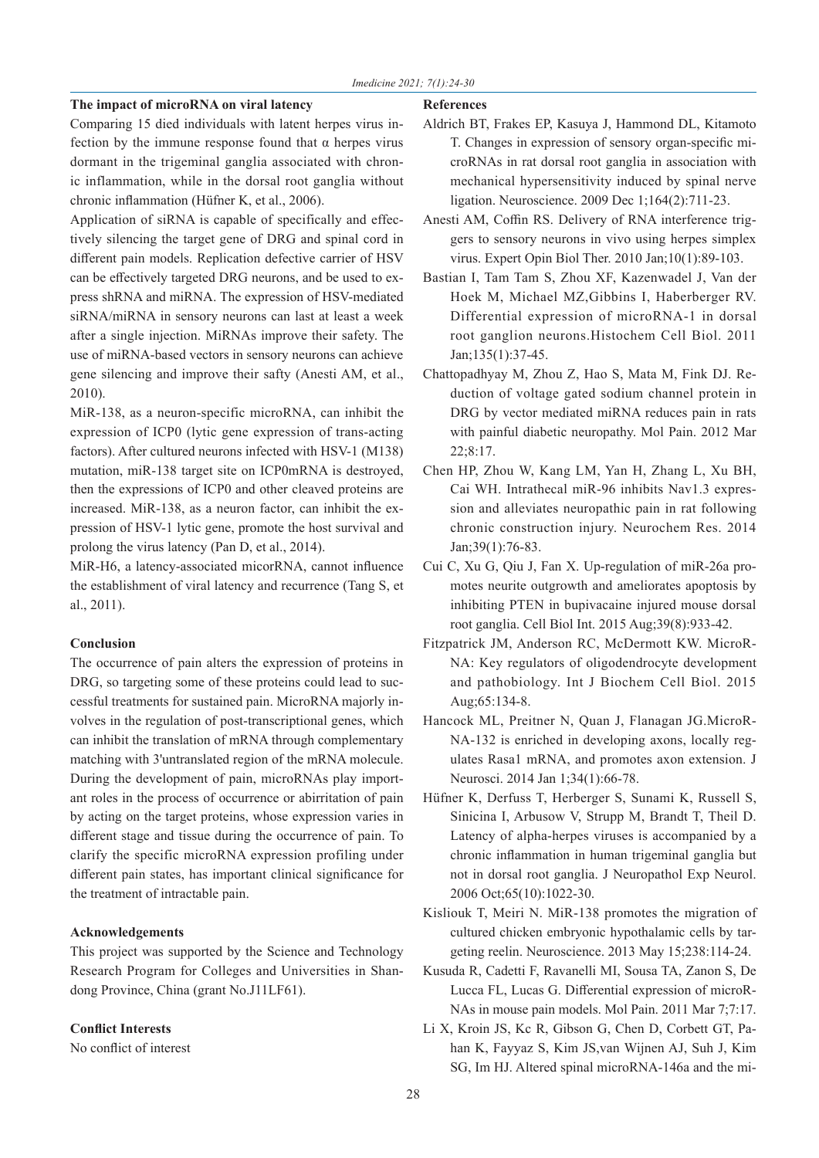## **The impact of microRNA on viral latency**

Comparing 15 died individuals with latent herpes virus infection by the immune response found that  $\alpha$  herpes virus dormant in the trigeminal ganglia associated with chronic inflammation, while in the dorsal root ganglia without chronic inflammation (Hüfner K, et al., 2006).

Application of siRNA is capable of specifically and effectively silencing the target gene of DRG and spinal cord in different pain models. Replication defective carrier of HSV can be effectively targeted DRG neurons, and be used to express shRNA and miRNA. The expression of HSV-mediated siRNA/miRNA in sensory neurons can last at least a week after a single injection. MiRNAs improve their safety. The use of miRNA-based vectors in sensory neurons can achieve gene silencing and improve their safty (Anesti AM, et al., 2010).

MiR-138, as a neuron-specific microRNA, can inhibit the expression of ICP0 (lytic gene expression of trans-acting factors). After cultured neurons infected with HSV-1 (M138) mutation, miR-138 target site on ICP0mRNA is destroyed, then the expressions of ICP0 and other cleaved proteins are increased. MiR-138, as a neuron factor, can inhibit the expression of HSV-1 lytic gene, promote the host survival and prolong the virus latency (Pan D, et al., 2014).

MiR-H6, a latency-associated micorRNA, cannot influence the establishment of viral latency and recurrence (Tang S, et al., 2011).

## **Conclusion**

The occurrence of pain alters the expression of proteins in DRG, so targeting some of these proteins could lead to successful treatments for sustained pain. MicroRNA majorly involves in the regulation of post-transcriptional genes, which can inhibit the translation of mRNA through complementary matching with 3'untranslated region of the mRNA molecule. During the development of pain, microRNAs play important roles in the process of occurrence or abirritation of pain by acting on the target proteins, whose expression varies in different stage and tissue during the occurrence of pain. To clarify the specific microRNA expression profiling under different pain states, has important clinical significance for the treatment of intractable pain.

## **Acknowledgements**

This project was supported by the Science and Technology Research Program for Colleges and Universities in Shandong Province, China (grant No.J11LF61).

## **Conflict Interests**

No conflict of interest

#### **References**

- Aldrich BT, Frakes EP, Kasuya J, Hammond DL, Kitamoto T. Changes in expression of sensory organ-specific microRNAs in rat dorsal root ganglia in association with mechanical hypersensitivity induced by spinal nerve ligation. Neuroscience. 2009 Dec 1;164(2):711-23.
- Anesti AM, Coffin RS. Delivery of RNA interference triggers to sensory neurons in vivo using herpes simplex virus. Expert Opin Biol Ther. 2010 Jan;10(1):89-103.
- Bastian I, Tam Tam S, Zhou XF, Kazenwadel J, Van der Hoek M, Michael MZ,Gibbins I, Haberberger RV. Differential expression of microRNA-1 in dorsal root ganglion neurons.Histochem Cell Biol. 2011 Jan;135(1):37-45.
- Chattopadhyay M, Zhou Z, Hao S, Mata M, Fink DJ. Reduction of voltage gated sodium channel protein in DRG by vector mediated miRNA reduces pain in rats with painful diabetic neuropathy. Mol Pain. 2012 Mar 22;8:17.
- Chen HP, Zhou W, Kang LM, Yan H, Zhang L, Xu BH, Cai WH. Intrathecal miR-96 inhibits Nav1.3 expression and alleviates neuropathic pain in rat following chronic construction injury. Neurochem Res. 2014 Jan;39(1):76-83.
- Cui C, Xu G, Qiu J, Fan X. Up-regulation of miR-26a promotes neurite outgrowth and ameliorates apoptosis by inhibiting PTEN in bupivacaine injured mouse dorsal root ganglia. Cell Biol Int. 2015 Aug;39(8):933-42.
- Fitzpatrick JM, Anderson RC, McDermott KW. MicroR-NA: Key regulators of oligodendrocyte development and pathobiology. Int J Biochem Cell Biol. 2015 Aug;65:134-8.
- Hancock ML, Preitner N, Quan J, Flanagan JG.MicroR-NA-132 is enriched in developing axons, locally regulates Rasa1 mRNA, and promotes axon extension. J Neurosci. 2014 Jan 1;34(1):66-78.
- Hüfner K, Derfuss T, Herberger S, Sunami K, Russell S, Sinicina I, Arbusow V, Strupp M, Brandt T, Theil D. Latency of alpha-herpes viruses is accompanied by a chronic inflammation in human trigeminal ganglia but not in dorsal root ganglia. J Neuropathol Exp Neurol. 2006 Oct;65(10):1022-30.
- Kisliouk T, Meiri N. MiR-138 promotes the migration of cultured chicken embryonic hypothalamic cells by targeting reelin. Neuroscience. 2013 May 15;238:114-24.
- Kusuda R, Cadetti F, Ravanelli MI, Sousa TA, Zanon S, De Lucca FL, Lucas G. Differential expression of microR-NAs in mouse pain models. Mol Pain. 2011 Mar 7;7:17.
- Li X, Kroin JS, Kc R, Gibson G, Chen D, Corbett GT, Pahan K, Fayyaz S, Kim JS,van Wijnen AJ, Suh J, Kim SG, Im HJ. Altered spinal microRNA-146a and the mi-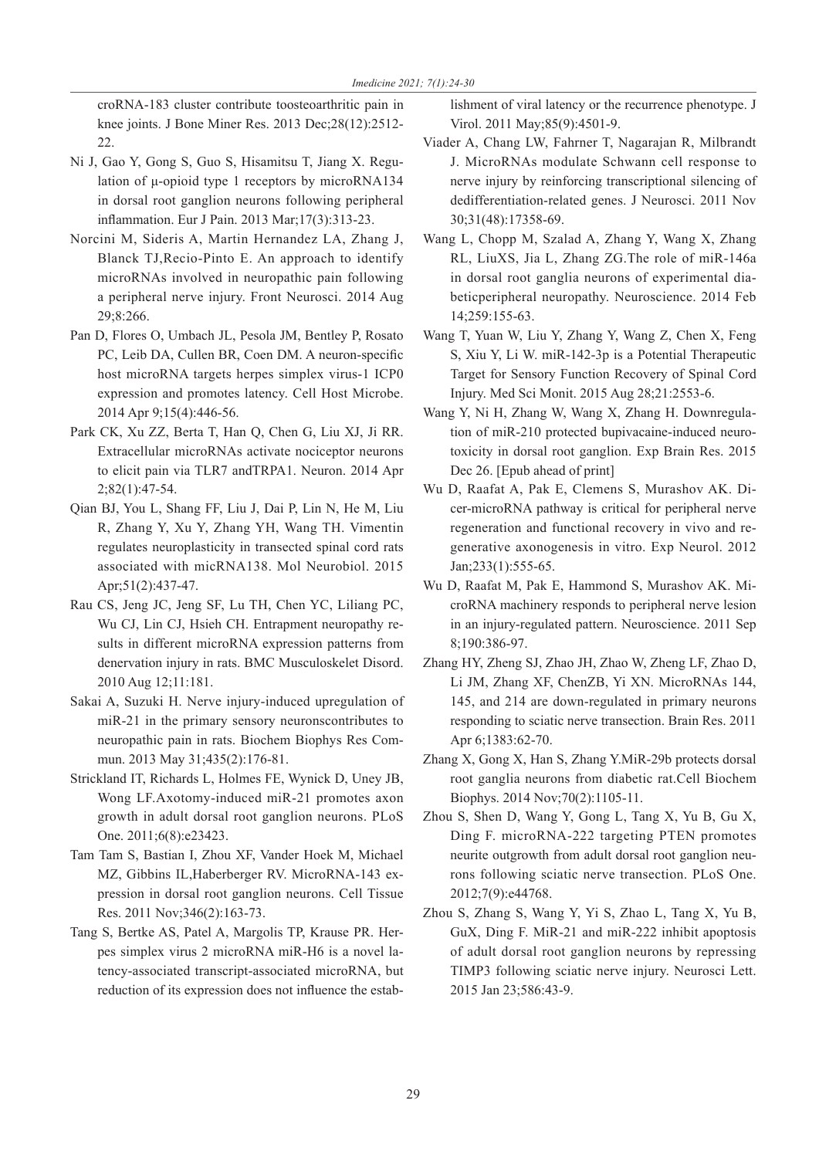croRNA-183 cluster contribute toosteoarthritic pain in knee joints. J Bone Miner Res. 2013 Dec;28(12):2512- 22.

- Ni J, Gao Y, Gong S, Guo S, Hisamitsu T, Jiang X. Regulation of μ-opioid type 1 receptors by microRNA134 in dorsal root ganglion neurons following peripheral inflammation. Eur J Pain. 2013 Mar;17(3):313-23.
- Norcini M, Sideris A, Martin Hernandez LA, Zhang J, Blanck TJ,Recio-Pinto E. An approach to identify microRNAs involved in neuropathic pain following a peripheral nerve injury. Front Neurosci. 2014 Aug 29;8:266.
- Pan D, Flores O, Umbach JL, Pesola JM, Bentley P, Rosato PC, Leib DA, Cullen BR, Coen DM. A neuron-specific host microRNA targets herpes simplex virus-1 ICP0 expression and promotes latency. Cell Host Microbe. 2014 Apr 9;15(4):446-56.
- Park CK, Xu ZZ, Berta T, Han Q, Chen G, Liu XJ, Ji RR. Extracellular microRNAs activate nociceptor neurons to elicit pain via TLR7 andTRPA1. Neuron. 2014 Apr 2;82(1):47-54.
- Qian BJ, You L, Shang FF, Liu J, Dai P, Lin N, He M, Liu R, Zhang Y, Xu Y, Zhang YH, Wang TH. Vimentin regulates neuroplasticity in transected spinal cord rats associated with micRNA138. Mol Neurobiol. 2015 Apr;51(2):437-47.
- Rau CS, Jeng JC, Jeng SF, Lu TH, Chen YC, Liliang PC, Wu CJ, Lin CJ, Hsieh CH. Entrapment neuropathy results in different microRNA expression patterns from denervation injury in rats. BMC Musculoskelet Disord. 2010 Aug 12;11:181.
- Sakai A, Suzuki H. Nerve injury-induced upregulation of miR-21 in the primary sensory neuronscontributes to neuropathic pain in rats. Biochem Biophys Res Commun. 2013 May 31;435(2):176-81.
- Strickland IT, Richards L, Holmes FE, Wynick D, Uney JB, Wong LF.Axotomy-induced miR-21 promotes axon growth in adult dorsal root ganglion neurons. PLoS One. 2011;6(8):e23423.
- Tam Tam S, Bastian I, Zhou XF, Vander Hoek M, Michael MZ, Gibbins IL,Haberberger RV. MicroRNA-143 expression in dorsal root ganglion neurons. Cell Tissue Res. 2011 Nov;346(2):163-73.
- Tang S, Bertke AS, Patel A, Margolis TP, Krause PR. Herpes simplex virus 2 microRNA miR-H6 is a novel latency-associated transcript-associated microRNA, but reduction of its expression does not influence the estab-

lishment of viral latency or the recurrence phenotype. J Virol. 2011 May;85(9):4501-9.

- Viader A, Chang LW, Fahrner T, Nagarajan R, Milbrandt J. MicroRNAs modulate Schwann cell response to nerve injury by reinforcing transcriptional silencing of dedifferentiation-related genes. J Neurosci. 2011 Nov 30;31(48):17358-69.
- Wang L, Chopp M, Szalad A, Zhang Y, Wang X, Zhang RL, LiuXS, Jia L, Zhang ZG.The role of miR-146a in dorsal root ganglia neurons of experimental diabeticperipheral neuropathy. Neuroscience. 2014 Feb 14;259:155-63.
- Wang T, Yuan W, Liu Y, Zhang Y, Wang Z, Chen X, Feng S, Xiu Y, Li W. miR-142-3p is a Potential Therapeutic Target for Sensory Function Recovery of Spinal Cord Injury. Med Sci Monit. 2015 Aug 28;21:2553-6.
- Wang Y, Ni H, Zhang W, Wang X, Zhang H. Downregulation of miR-210 protected bupivacaine-induced neurotoxicity in dorsal root ganglion. Exp Brain Res. 2015 Dec 26. [Epub ahead of print]
- Wu D, Raafat A, Pak E, Clemens S, Murashov AK. Dicer-microRNA pathway is critical for peripheral nerve regeneration and functional recovery in vivo and regenerative axonogenesis in vitro. Exp Neurol. 2012 Jan;233(1):555-65.
- Wu D, Raafat M, Pak E, Hammond S, Murashov AK. MicroRNA machinery responds to peripheral nerve lesion in an injury-regulated pattern. Neuroscience. 2011 Sep 8;190:386-97.
- Zhang HY, Zheng SJ, Zhao JH, Zhao W, Zheng LF, Zhao D, Li JM, Zhang XF, ChenZB, Yi XN. MicroRNAs 144, 145, and 214 are down-regulated in primary neurons responding to sciatic nerve transection. Brain Res. 2011 Apr 6;1383:62-70.
- Zhang X, Gong X, Han S, Zhang Y.MiR-29b protects dorsal root ganglia neurons from diabetic rat.Cell Biochem Biophys. 2014 Nov;70(2):1105-11.
- Zhou S, Shen D, Wang Y, Gong L, Tang X, Yu B, Gu X, Ding F. microRNA-222 targeting PTEN promotes neurite outgrowth from adult dorsal root ganglion neurons following sciatic nerve transection. PLoS One. 2012;7(9):e44768.
- Zhou S, Zhang S, Wang Y, Yi S, Zhao L, Tang X, Yu B, GuX, Ding F. MiR-21 and miR-222 inhibit apoptosis of adult dorsal root ganglion neurons by repressing TIMP3 following sciatic nerve injury. Neurosci Lett. 2015 Jan 23;586:43-9.